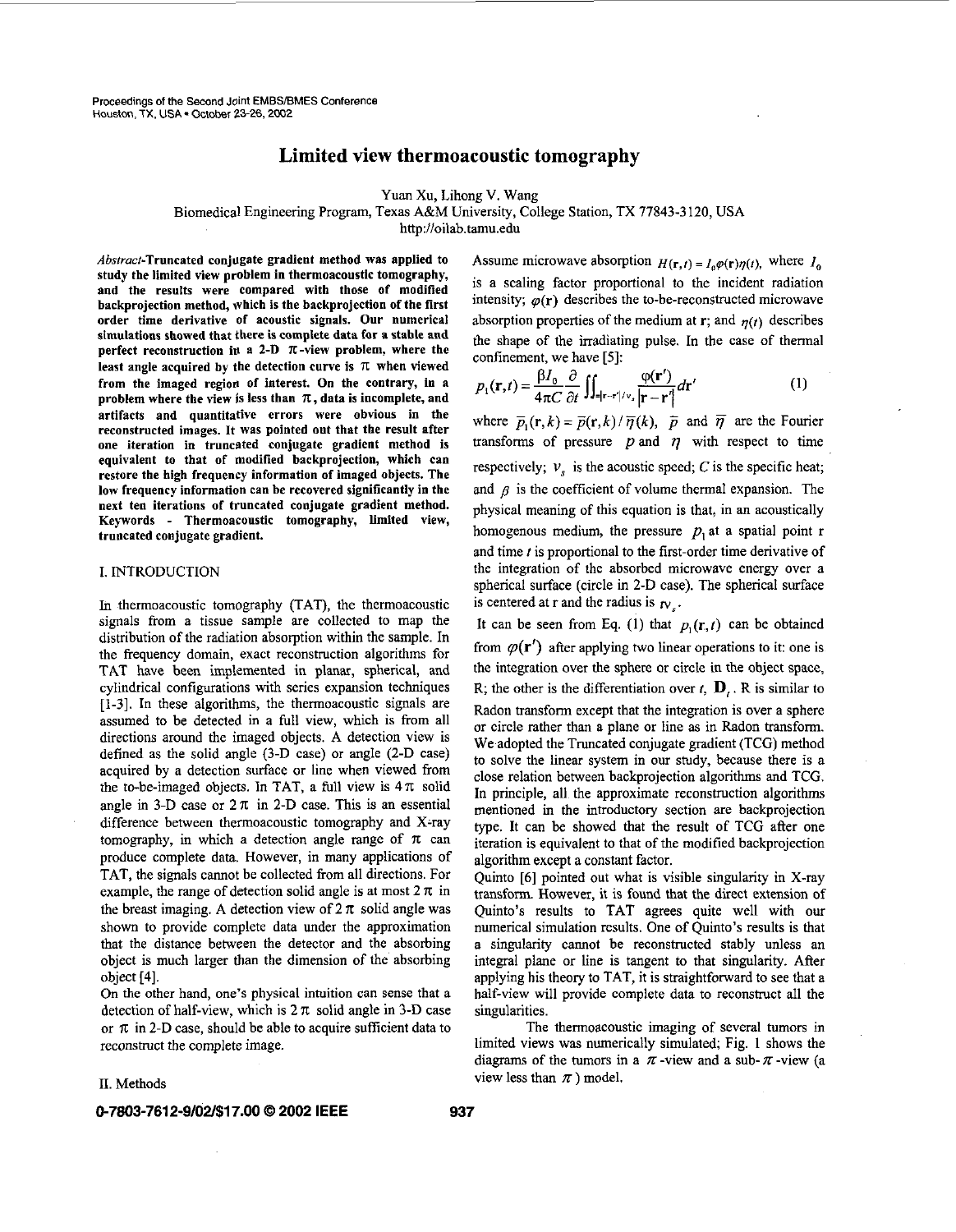$\overline{\phantom{a}}$ 

# **Limited view thermoacoustic tomography**

Yuan Xu, Lihong V. Wang

# Biomedical Engineering Program, Texas A&M University, College Station, TX 77843-3 120, USA <http://oilab.tamu.edu>

Absrroct-Truncated conjugate gradient method was applied to study the limited view problem in thermoacoustic tomography, and the results were compared with those of modified hackprojection method, which is the hackprojection of the first order time derivative of acoustic signals. Our numerical simulations showed that there is complete data for a stable and perfect reconstruction in a 2-D  $\pi$ -view problem, where the least angle acquired by the detection curve is  $\pi$  when viewed from the imaged regiod of interest. **On** the contrary, in a problem where the view is less than  $\pi$ , data is incomplete, and artifacts and quantitative errors were obvious in the reconstructed images. It was pointed out that the result after one iteration in truncated conjugate gradient method is equivalent to that of modified hackprojection, which can restore the high frequency information of imaged objects. The low frequency information can be recovered significantly in the next ten iterations of truncated conjugate gradient method. Keywords - Thermoacoustic tomography, limited view, truncated conjugate gradient.

# I. INTRODUCTION

In thermoacoustic tomography (TAT), the thermoacoustic signals from a tissue sample are collected to map the distribution of the radiation absorption within the sample. In the frequency domain, exact reconstruction algorithms for TAT have been implemented in planar, spherical, and cylindrical configurations with series expansion techniques **[1-3].** In these algorithms, the thermoacoustic signals are assumed to be detected in a full view, which is from all directions around the imaged objects. A detection view is defined as the solid angle (3-D case) or angle (2-D case) acquired by a detection surface or line when viewed from the to-be-imaged objects. In TAT, a full view is  $4\pi$  solid angle in 3-D case or  $2\pi$  in 2-D case. This is an essential difference between thermoacoustic tomography and X-ray tomography, in which a detection angle range of  $\pi$  can produce complete data. However, in many applications of TAT, the signals cannot be collected fiom all directions. For example, the range of detection solid angle is at most  $2 \pi$  in the breast imaging. A detection view of  $2\pi$  solid angle was shown to provide complete data under the approximation that the distance between the detector and the absorbing object is much larger than the dimension of the absorbing object [4].

On the other hand, one's physical intuition can sense that a detection of half-view, which is  $2 \pi$  solid angle in 3-D case or  $\pi$  in 2-D case, should be able to acquire sufficient data to reconstruct the complete image.

#### 11. Methods

Assume microwave absorption  $H(\mathbf{r},t) = I_0 \varphi(\mathbf{r}) \eta(t)$ , where  $I_0$ is a scaling factor proportional to the incident radiation intensity;  $\varphi(\mathbf{r})$  describes the to-be-reconstructed microwave absorption properties of the medium at r; and  $q(t)$  describes the shape of the irradiating pulse. In the case of thermal confinement, we have [5]:

$$
p_1(\mathbf{r},t) = \frac{\beta I_0}{4\pi C} \frac{\partial}{\partial t} \iint_{-|\mathbf{r}-\mathbf{r}'|/\mathbf{v}_s} \frac{\varphi(\mathbf{r}')}{|\mathbf{r}-\mathbf{r}'|} d\mathbf{r}'
$$
 (1)

where  $\bar{p}_1(\mathbf{r},k)=\bar{p}(\mathbf{r},k)/\bar{\eta}(k)$ ,  $\bar{p}$  and  $\bar{\eta}$  are the Fourier transforms of pressure  $p$  and  $\eta$  with respect to time respectively;  $v<sub>s</sub>$  is the acoustic speed; C is the specific heat; and  $\beta$  is the coefficient of volume thermal expansion. The physical meaning of this equation is that, in an acoustically homogenous medium, the pressure  $p_1$  at a spatial point r and time *f* is proportional to the first-order time derivative of the integration of the absorbed microwave energy over a spherical surface (circle in 2-D case). The spherical surface is centered at r and the radius is  $f_v$ .

It can be seen from Eq. (1) that  $p_1(r, t)$  can be obtained from  $\varphi(\mathbf{r}')$  after applying two linear operations to it: one is the integration over the sphere or circle in the object space, R; the other is the differentiation over  $t$ ,  $\mathbf{D}_t$ . R is similar to Radon transform except that the integration is over a sphere or circle rather than a plane or line **as** in Radon transform. We adopted the Truncated conjugate gradient (TCG) method to solve the linear system in our study, because there is a close relation between backprojection algorithms and TCG. In principle, all the approximate reconstruction algorithms mentioned in the introductory section are backprojection type. It can be showed that the result of TCG after one iteration is equivalent to that of the modified backprojection algorithm except a constant factor.

Quinto [6] pointed out what is visible singularity in X-ray transform. However, it is found that the direct extension of Quinto's results to TAT agrees quite well with **OUT**  numerical simulation results. One of Quinto's results is that a singularity cannot be reconstructed stably unless an integral plane or line is tangent to that singularity. After applying his theory to TAT, it is straightforward to see that a half-view will provide complete data to reconstruct all the singularities.

The thermoacoustic imaging of several tumors in limited views was numerically simulated; Fig. **1** shows the diagrams of the tumors in a  $\pi$ -view and a sub- $\pi$ -view (a view less than  $\pi$ ) model.

## **0-7803-7612-9/02/\$17.00** @ **2002 IEEE 937**